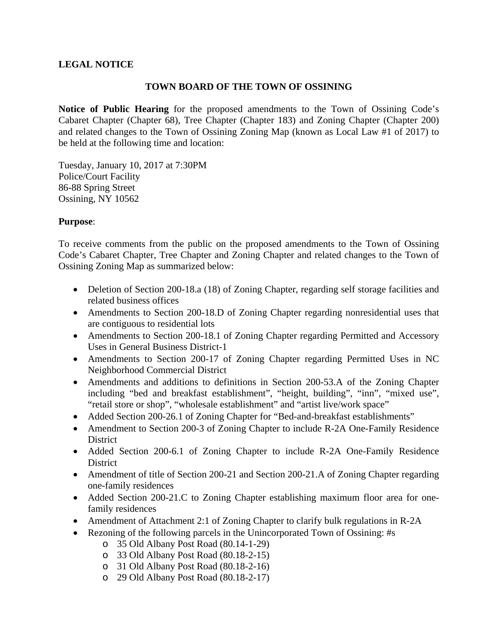## **LEGAL NOTICE**

## **TOWN BOARD OF THE TOWN OF OSSINING**

**Notice of Public Hearing** for the proposed amendments to the Town of Ossining Code's Cabaret Chapter (Chapter 68), Tree Chapter (Chapter 183) and Zoning Chapter (Chapter 200) and related changes to the Town of Ossining Zoning Map (known as Local Law #1 of 2017) to be held at the following time and location:

Tuesday, January 10, 2017 at 7:30PM Police/Court Facility 86-88 Spring Street Ossining, NY 10562

## **Purpose**:

To receive comments from the public on the proposed amendments to the Town of Ossining Code's Cabaret Chapter, Tree Chapter and Zoning Chapter and related changes to the Town of Ossining Zoning Map as summarized below:

- Deletion of Section 200-18.a (18) of Zoning Chapter, regarding self storage facilities and related business offices
- Amendments to Section 200-18.D of Zoning Chapter regarding nonresidential uses that are contiguous to residential lots
- Amendments to Section 200-18.1 of Zoning Chapter regarding Permitted and Accessory Uses in General Business District-1
- Amendments to Section 200-17 of Zoning Chapter regarding Permitted Uses in NC Neighborhood Commercial District
- Amendments and additions to definitions in Section 200-53.A of the Zoning Chapter including "bed and breakfast establishment", "height, building", "inn", "mixed use", "retail store or shop", "wholesale establishment" and "artist live/work space"
- Added Section 200-26.1 of Zoning Chapter for "Bed-and-breakfast establishments"
- Amendment to Section 200-3 of Zoning Chapter to include R-2A One-Family Residence District
- Added Section 200-6.1 of Zoning Chapter to include R-2A One-Family Residence **District**
- Amendment of title of Section 200-21 and Section 200-21.A of Zoning Chapter regarding one-family residences
- Added Section 200-21.C to Zoning Chapter establishing maximum floor area for onefamily residences
- Amendment of Attachment 2:1 of Zoning Chapter to clarify bulk regulations in R-2A
- Rezoning of the following parcels in the Unincorporated Town of Ossining: #s
	- o 35 Old Albany Post Road (80.14-1-29)
	- o 33 Old Albany Post Road (80.18-2-15)
	- o 31 Old Albany Post Road (80.18-2-16)
	- o 29 Old Albany Post Road (80.18-2-17)